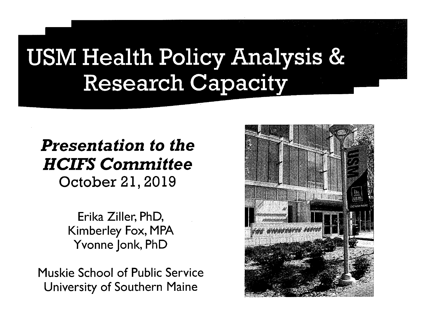## USM Health Policy Analysis & Research Capacity

#### *Presentation to the HCIFS Committee*  October 21, 2019

Erika Ziller, PhD, Kimberley Fox, MPA Yvonne Jonk, PhD

Muskie School of Public Service University of Southern Maine

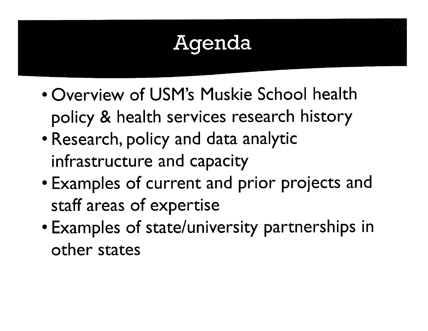## Agenda

- Overview of USM's Muskie School health policy & health services research history
- Research, policy and data analytic infrastructure and capacity
- Examples of current and prior projects and staff areas of expertise
- Examples of state/university partnerships in other states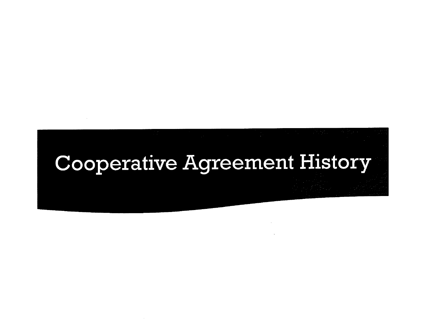## Cooperative Agreement History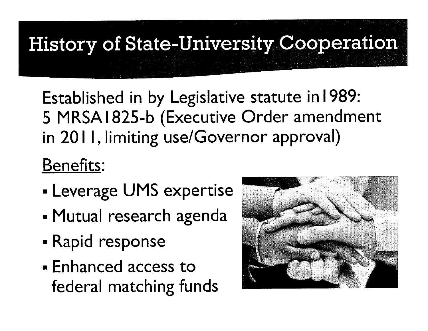History of State-University Cooperation

Established in by Legislative statute in 1989: 5 MRSA 1825-b (Executive Order amendment in 20 I I, limiting use/Governor approval)

#### Benefits:

- Leverage UMS expertise
- Mutual research agenda
- Rapid response
- Enhanced access to federal matching funds

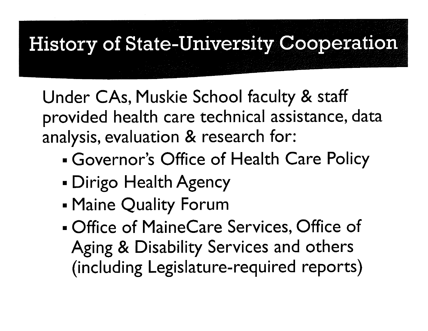## **History of State-University Cooperation**

Under CAs, Muskie School faculty & staff provided health care technical assistance, data analysis, evaluation & research for:

- Governor's Office of Health Care Policy
- Dirigo Health Agency
- Maine Quality Forum
- Office of MaineCare Services, Office of Aging & Disability Services and others (including Legislature-required reports)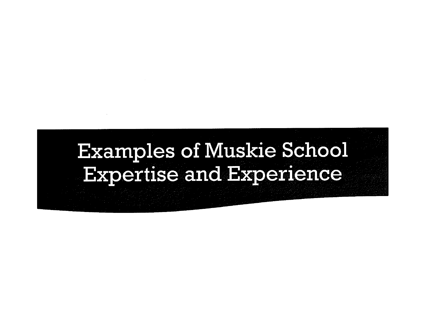### **Examples of Muskie School Expertise and Experience**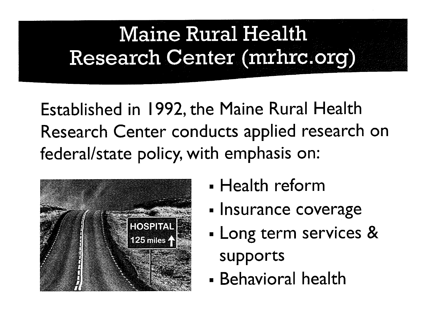## **Maine Rural Health** Research Center (mrhrc.org)

Established in 1992, the Maine Rural Health Research Center conducts applied research on federal/state policy, with emphasis on:



- Health reform
- Insurance coverage
- Long term services & supports
- Behavioral health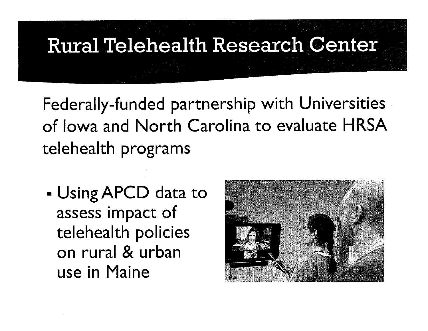# **Rural Telehealth Research Center**

Federally-funded partnership with Universities of Iowa and North Carolina to evaluate HRSA telehealth programs

■ Using APCD data to assess impact of telehealth policies on rural & urban use in Maine

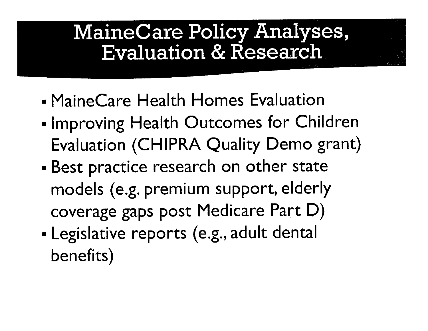#### MaineCare Policy Analyses, Evaluation & Research

- MaineCare Health Homes Evaluation
- Improving Health Outcomes for Children Evaluation **(CHIPRA** Quality Demo grant)
- Best practice research on other state models (e.g. premium support, elderly coverage gaps post Medicare Part D)
- Legislative reports (e.g., adult dental benefits)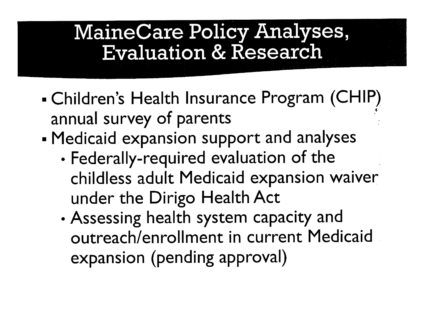#### MaineCare Policy Analyses, Evaluation & Research

- Children's Health Insurance Program (CHIP) annual survey of parents
- Medicaid expansion support and analyses
	- Federally-required evaluation of the childless adult Medicaid expansion waiver under the Dirigo Health Act
	- Assessing health system capacity and outreach/enrollment in current Medicaid . expansion (pending approval)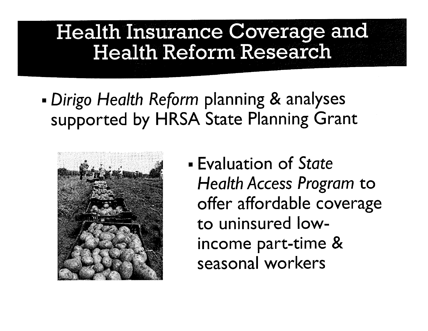#### Health Insurance Coverage and Health Reform Research

■ *Dirigo Health Reform* planning & analyses supported by HRSA State Planning Grant



■ Evaluation of *State Health* Access *Program* to offer affordable coverage to uninsured lowincome part-time & seasonal workers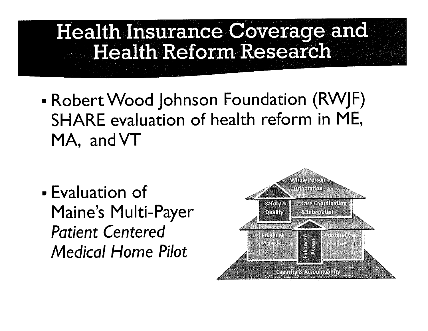#### **Health Insurance Coverage and Health Reform Research**

■ Robert Wood Johnson Foundation (RWJF) SHARE evaluation of health reform in ME, MA, andVT

■ Evaluation of Maine's Multi-Payer *Patient Centered Medical* Home *Pilot* 

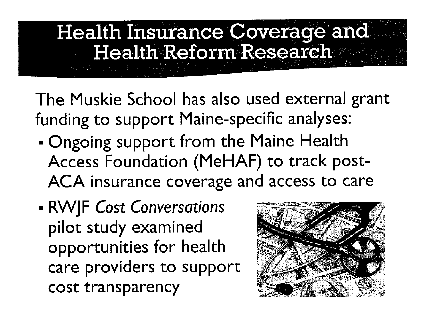#### **Health Insurance Coverage and Health Reform Research**

The Muskie School has also used external grant funding to support Maine-specific analyses:

- Ongoing support from the Maine Health Access Foundation (MeHAF) to track post-ACA insurance coverage and access to care
- **RWJF** *Cost Conversations*  pilot study examined opportunities for health care providers to support cost transparency

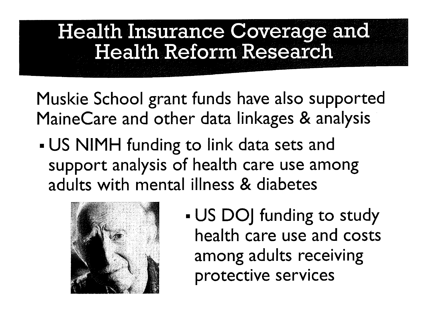#### **Health Insurance Coverage and Health Reform Research**

Muskie School grant funds have also supported MaineCare and other data linkages & analysis

• US NIMH funding to link data sets and support analysis of health care use among adults with mental illness & diabetes



■ US DOJ funding to study health care use and costs among adults receiving protective services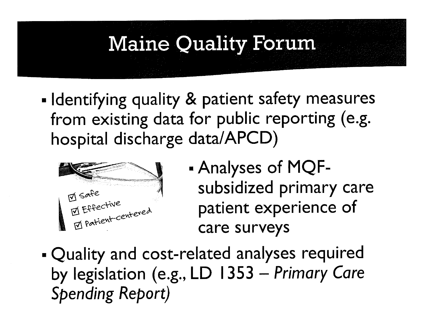## **Maine Quality Forum**

- Identifying quality & patient safety measures from existing data for public reporting (e.g. hospital discharge data/APCD)



- Analyses of MQFsubsidized primary care patient experience of care surveys
- . Quality and cost-related analyses required by legislation (e.g., LD 1353 - Primary Care **Spending Report)**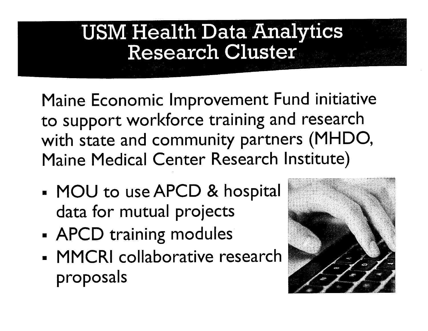#### USM Health Data Analytics Research Cluster

Maine Economic Improvement Fund initiative to support workforce training and research with state and community partners (MHDO, Maine Medical Center Research Institute)

- MOU to use APCD & hospital data for mutual projects
- APCD training modules
- MMCRI collaborative research proposals

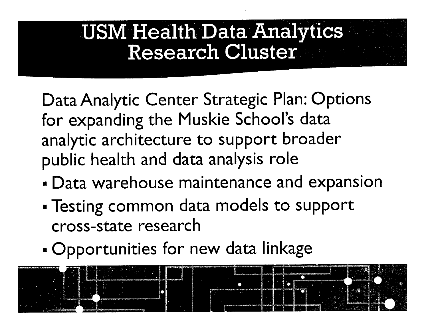#### USM Health Data Analytics Research Cluster

Data Analytic Center Strategic Plan: Options for expanding the Muskie School's data analytic architecture to support broader public health and data analysis role

- Data warehouse maintenance and expansion
- Testing common data models to support cross-state research
- Opportunities for new data linkage

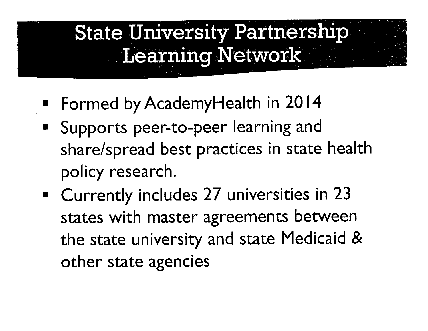## **State University Partnership** Learning Network

- Formed by AcademyHealth in 2014
- Supports peer-to-peer learning and share/spread best practices in state health policy research.
- Currently includes 27 universities in 23 states with master agreements between the state university and state Medicaid & other state agencies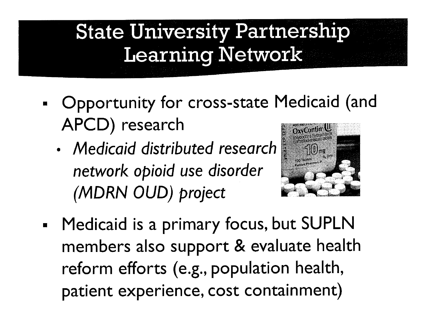## State University Partnership Learning Network

- Opportunity for cross-state Medicaid (and APCD) research
	- *Medicaid distributed research network opioid use disorder (MORN OUD) project*



■ Medicaid is a primary focus, but SUPLN members also support & evaluate health reform efforts (e.g., population health, patient experience, cost containment)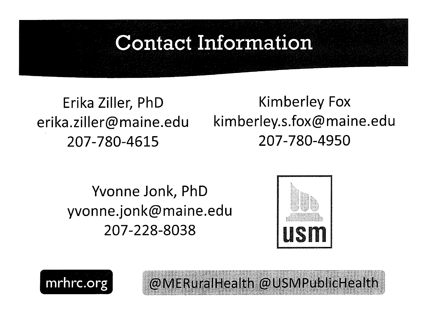#### **Contact Information**

Erika Ziller, PhD erika.ziller@maine.edu 207-780-4615

Kimberley Fox kimberley.s.fox@maine.edu 207-780-4950

Yvonne Jonk, PhD yvonne.jonk@maine.edu 207-228-8038



@MERuralHealth @USMPublicHealth